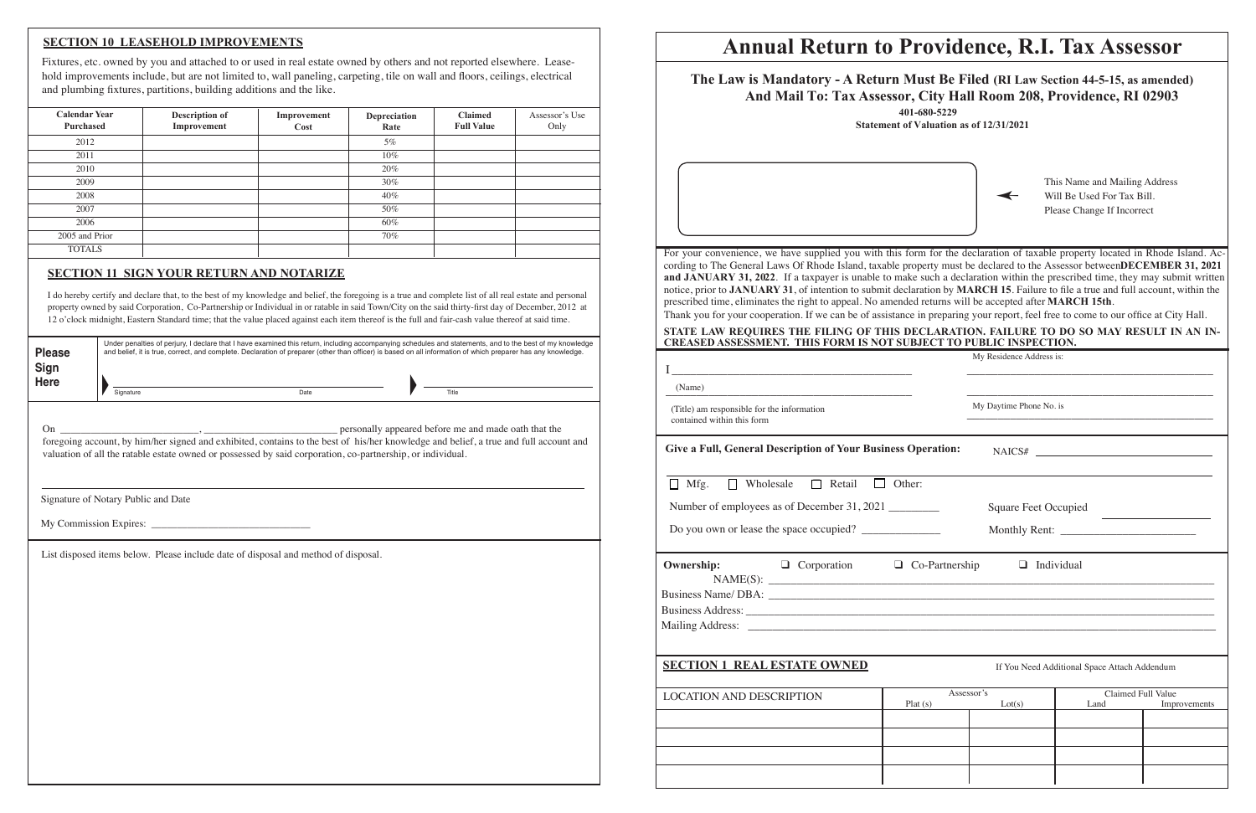# **Annual Return to Providence, R.I. Tax Assessor**

| The Law is Mandatory - A Return Must Be Filed (RI Law Section 44-5-15, as amended)<br>And Mail To: Tax Assessor, City Hall Room 208, Providence, RI 02903                                                                                                                                                                                                                                                                                                                                                                                                                                                                                                                                                                                                                                                                                                                                                                                       | 401-680-5229<br><b>Statement of Valuation as of 12/31/2021</b> |                             |                                                                                           |              |  |
|-------------------------------------------------------------------------------------------------------------------------------------------------------------------------------------------------------------------------------------------------------------------------------------------------------------------------------------------------------------------------------------------------------------------------------------------------------------------------------------------------------------------------------------------------------------------------------------------------------------------------------------------------------------------------------------------------------------------------------------------------------------------------------------------------------------------------------------------------------------------------------------------------------------------------------------------------|----------------------------------------------------------------|-----------------------------|-------------------------------------------------------------------------------------------|--------------|--|
|                                                                                                                                                                                                                                                                                                                                                                                                                                                                                                                                                                                                                                                                                                                                                                                                                                                                                                                                                 |                                                                |                             | This Name and Mailing Address<br>Will Be Used For Tax Bill.<br>Please Change If Incorrect |              |  |
| For your convenience, we have supplied you with this form for the declaration of taxable property located in Rhode Island. Ac-<br>cording to The General Laws Of Rhode Island, taxable property must be declared to the Assessor betweenDECEMBER 31, 2021<br>and JANUARY 31, 2022. If a taxpayer is unable to make such a declaration within the prescribed time, they may submit written<br>notice, prior to JANUARY 31, of intention to submit declaration by MARCH 15. Failure to file a true and full account, within the<br>prescribed time, eliminates the right to appeal. No amended returns will be accepted after MARCH 15th.<br>Thank you for your cooperation. If we can be of assistance in preparing your report, feel free to come to our office at City Hall.<br>STATE LAW REQUIRES THE FILING OF THIS DECLARATION. FAILURE TO DO SO MAY RESULT IN AN IN-<br>CREASED ASSESSMENT. THIS FORM IS NOT SUBJECT TO PUBLIC INSPECTION. |                                                                |                             |                                                                                           |              |  |
|                                                                                                                                                                                                                                                                                                                                                                                                                                                                                                                                                                                                                                                                                                                                                                                                                                                                                                                                                 |                                                                | My Residence Address is:    |                                                                                           |              |  |
| (Name)                                                                                                                                                                                                                                                                                                                                                                                                                                                                                                                                                                                                                                                                                                                                                                                                                                                                                                                                          |                                                                |                             |                                                                                           |              |  |
| (Title) am responsible for the information<br>contained within this form                                                                                                                                                                                                                                                                                                                                                                                                                                                                                                                                                                                                                                                                                                                                                                                                                                                                        |                                                                | My Daytime Phone No. is     |                                                                                           |              |  |
| Give a Full, General Description of Your Business Operation:                                                                                                                                                                                                                                                                                                                                                                                                                                                                                                                                                                                                                                                                                                                                                                                                                                                                                    |                                                                |                             | NAICS#                                                                                    |              |  |
| Mfg.<br>Wholesale<br>$\Box$ Retail<br>$\perp$<br>П                                                                                                                                                                                                                                                                                                                                                                                                                                                                                                                                                                                                                                                                                                                                                                                                                                                                                              | Other:                                                         |                             |                                                                                           |              |  |
| Number of employees as of December 31, 2021                                                                                                                                                                                                                                                                                                                                                                                                                                                                                                                                                                                                                                                                                                                                                                                                                                                                                                     |                                                                | <b>Square Feet Occupied</b> |                                                                                           |              |  |
| Do you own or lease the space occupied?                                                                                                                                                                                                                                                                                                                                                                                                                                                                                                                                                                                                                                                                                                                                                                                                                                                                                                         |                                                                |                             |                                                                                           |              |  |
| $\Box$ Corporation $\Box$ Co-Partnership<br><b>Ownership:</b>                                                                                                                                                                                                                                                                                                                                                                                                                                                                                                                                                                                                                                                                                                                                                                                                                                                                                   |                                                                |                             | $\Box$ Individual                                                                         |              |  |
| <b>SECTION 1 REAL ESTATE OWNED</b><br>If You Need Additional Space Attach Addendum                                                                                                                                                                                                                                                                                                                                                                                                                                                                                                                                                                                                                                                                                                                                                                                                                                                              |                                                                |                             |                                                                                           |              |  |
| <b>LOCATION AND DESCRIPTION</b>                                                                                                                                                                                                                                                                                                                                                                                                                                                                                                                                                                                                                                                                                                                                                                                                                                                                                                                 | Assessor's<br>Plat(s)                                          | Lot(s)                      | Claimed Full Value<br>Land                                                                | Improvements |  |
|                                                                                                                                                                                                                                                                                                                                                                                                                                                                                                                                                                                                                                                                                                                                                                                                                                                                                                                                                 |                                                                |                             |                                                                                           |              |  |
|                                                                                                                                                                                                                                                                                                                                                                                                                                                                                                                                                                                                                                                                                                                                                                                                                                                                                                                                                 |                                                                |                             |                                                                                           |              |  |
|                                                                                                                                                                                                                                                                                                                                                                                                                                                                                                                                                                                                                                                                                                                                                                                                                                                                                                                                                 |                                                                |                             |                                                                                           |              |  |
|                                                                                                                                                                                                                                                                                                                                                                                                                                                                                                                                                                                                                                                                                                                                                                                                                                                                                                                                                 |                                                                |                             |                                                                                           |              |  |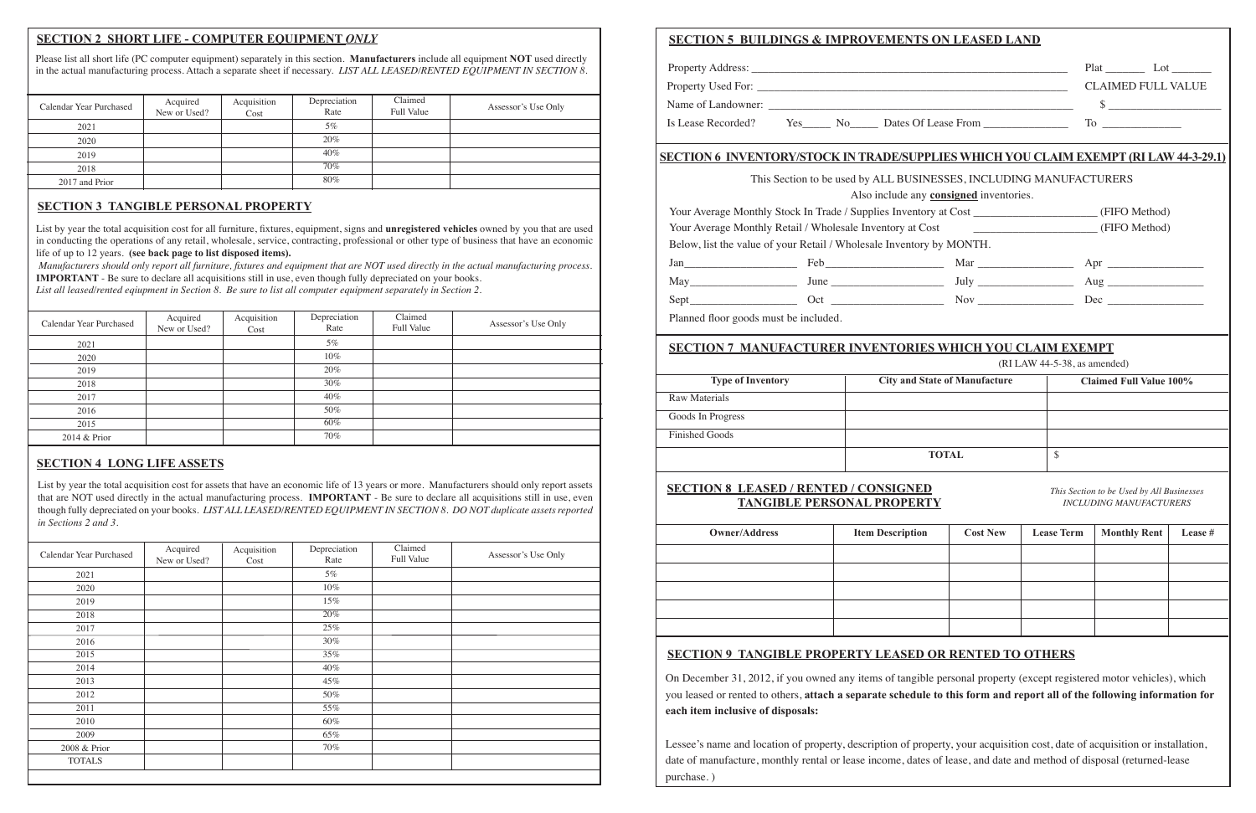## **SECTION 2 SHORT LIFE - COMPUTER EQUIPMENT** *ONLY*

Please list all short life (PC computer equipment) separately in this section. **Manufacturers** include all equipment **NOT** used directly in the actual manufacturing process. Attach a separate sheet if necessary. *LIST ALL LEASED/RENTED EQUIPMENT IN SECTION 8.* 

| Calendar Year Purchased | Acquired     | Acquisition | Depreciation | Claimed           |                     |
|-------------------------|--------------|-------------|--------------|-------------------|---------------------|
|                         | New or Used? | Cost        | Rate         | <b>Full Value</b> | Assessor's Use Only |
| 2021                    |              |             | $5\%$        |                   |                     |
| 2020                    |              |             | 20%          |                   |                     |
| 2019                    |              |             | 40%          |                   |                     |
| 2018                    |              |             | 70%          |                   |                     |
| 2017 and Prior          |              |             | 80%          |                   |                     |

### **SECTION 3 TANGIBLE PERSONAL PROPERTY**

List by year the total acquisition cost for all furniture, fixtures, equipment, signs and **unregistered vehicles** owned by you that are used in conducting the operations of any retail, wholesale, service, contracting, professional or other type of business that have an economic life of up to 12 years. **(see back page to list disposed items).**

*Manufacturers should only report all furniture, fixtures and equipment that are NOT used directly in the actual manufacturing process.* **IMPORTANT** - Be sure to declare all acquisitions still in use, even though fully depreciated on your books.

*List all leased/rented eqiupment in Section 8. Be sure to list all computer equipment separately in Section 2.*

| Calendar Year Purchased | Acquired<br>New or Used? | Acquisition<br>Cost | Depreciation<br>Rate | Claimed<br><b>Full Value</b> | Assessor's Use Only |
|-------------------------|--------------------------|---------------------|----------------------|------------------------------|---------------------|
| 2021                    |                          |                     | 5%                   |                              |                     |
| 2020                    |                          |                     | $10\%$               |                              |                     |
| 2019                    |                          |                     | 20%                  |                              |                     |
| 2018                    |                          |                     | 30%                  |                              |                     |
| 2017                    |                          |                     | $40\%$               |                              |                     |
| 2016                    |                          |                     | 50%                  |                              |                     |
| 2015                    |                          |                     | 60%                  |                              |                     |
| 2014 & Prior            |                          |                     | 70%                  |                              |                     |

#### **SECTION 4 LONG LIFE ASSETS**

List by year the total acquisition cost for assets that have an economic life of 13 years or more. Manufacturers should only report assets that are NOT used directly in the actual manufacturing process. **IMPORTANT** - Be sure to declare all acquisitions still in use, even though fully depreciated on your books. *LIST ALL LEASED/RENTED EQUIPMENT IN SECTION 8. DO NOT duplicate assets reported in Sections 2 and 3.* 

| Calendar Year Purchased | Acquired<br>New or Used? | Acquisition<br>Cost | Depreciation<br>Rate | Claimed<br>Full Value | Assessor's Use Only |
|-------------------------|--------------------------|---------------------|----------------------|-----------------------|---------------------|
| 2021                    |                          |                     | 5%                   |                       |                     |
| 2020                    |                          |                     | $10\%$               |                       |                     |
| 2019                    |                          |                     | 15%                  |                       |                     |
| 2018                    |                          |                     | 20%                  |                       |                     |
| 2017                    |                          |                     | 25%                  |                       |                     |
| 2016                    |                          |                     | 30%                  |                       |                     |
| 2015                    |                          |                     | 35%                  |                       |                     |
| 2014                    |                          |                     | 40%                  |                       |                     |
| 2013                    |                          |                     | 45%                  |                       |                     |
| 2012                    |                          |                     | 50%                  |                       |                     |
| 2011                    |                          |                     | 55%                  |                       |                     |
| 2010                    |                          |                     | 60%                  |                       |                     |
| 2009                    |                          |                     | 65%                  |                       |                     |
| 2008 & Prior            |                          |                     | 70%                  |                       |                     |
| <b>TOTALS</b>           |                          |                     |                      |                       |                     |
|                         |                          |                     |                      |                       |                     |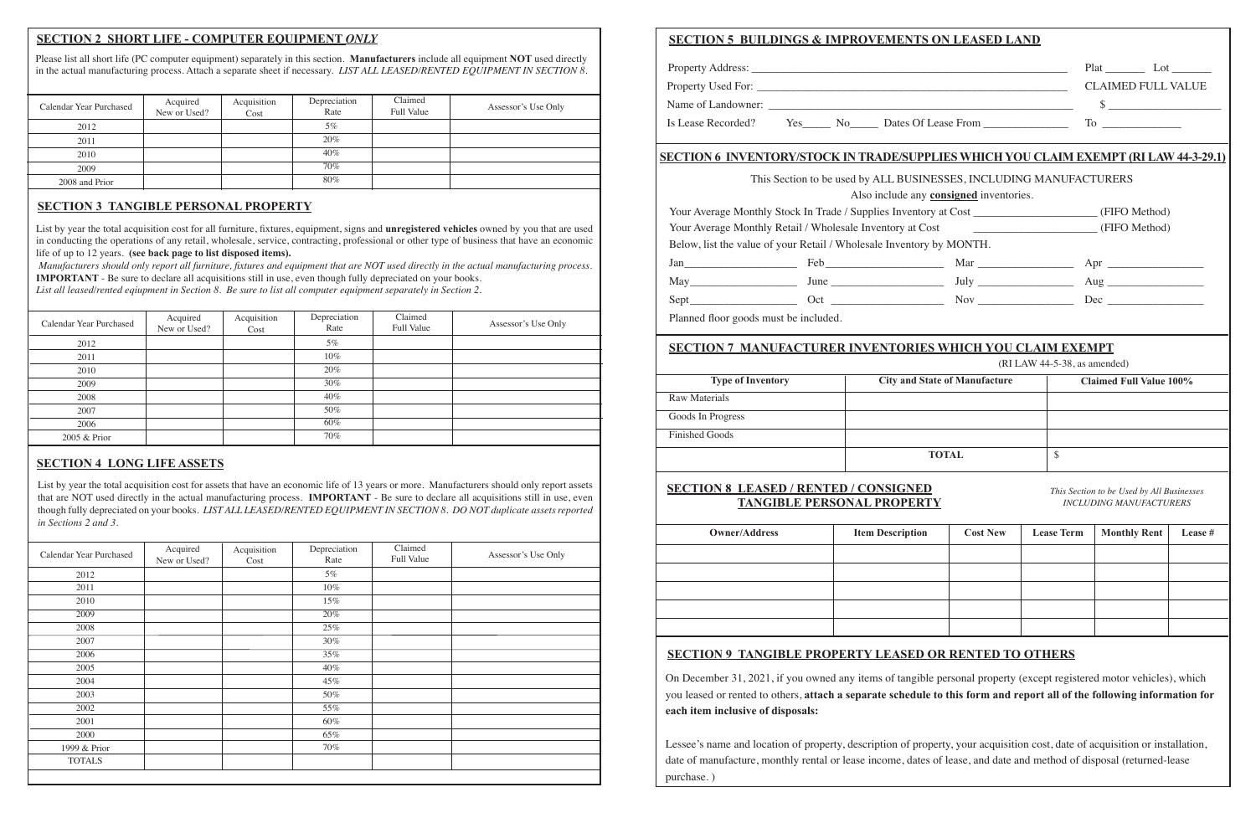|                                                                                  | <b>SECTION 5 BUILDINGS &amp; IMPROVEMENTS ON LEASED LAND</b>                                 |                                                                                           |                   |                                                                             |         |  |
|----------------------------------------------------------------------------------|----------------------------------------------------------------------------------------------|-------------------------------------------------------------------------------------------|-------------------|-----------------------------------------------------------------------------|---------|--|
|                                                                                  |                                                                                              |                                                                                           |                   |                                                                             |         |  |
|                                                                                  |                                                                                              |                                                                                           |                   | <b>CLAIMED FULL VALUE</b>                                                   |         |  |
|                                                                                  |                                                                                              |                                                                                           |                   | $\frac{1}{2}$                                                               |         |  |
| Is Lease Recorded? Yes_______ No________ Dates Of Lease From ___________________ |                                                                                              |                                                                                           |                   |                                                                             |         |  |
|                                                                                  | <b>SECTION 6 INVENTORY/STOCK IN TRADE/SUPPLIES WHICH YOU CLAIM EXEMPT (RI LAW 44-3-29.1)</b> |                                                                                           |                   |                                                                             |         |  |
|                                                                                  | This Section to be used by ALL BUSINESSES, INCLUDING MANUFACTURERS                           |                                                                                           |                   |                                                                             |         |  |
|                                                                                  | Also include any <b>consigned</b> inventories.                                               |                                                                                           |                   |                                                                             |         |  |
|                                                                                  | Your Average Monthly Stock In Trade / Supplies Inventory at Cost (FIFO Method)               |                                                                                           |                   |                                                                             |         |  |
|                                                                                  | Your Average Monthly Retail / Wholesale Inventory at Cost                                    | (FIFO Method)                                                                             |                   |                                                                             |         |  |
|                                                                                  | Below, list the value of your Retail / Wholesale Inventory by MONTH.                         |                                                                                           |                   |                                                                             |         |  |
|                                                                                  |                                                                                              |                                                                                           |                   |                                                                             |         |  |
|                                                                                  |                                                                                              |                                                                                           |                   |                                                                             |         |  |
|                                                                                  |                                                                                              |                                                                                           |                   |                                                                             |         |  |
| Planned floor goods must be included.                                            |                                                                                              |                                                                                           |                   |                                                                             |         |  |
| <b>Type of Inventory</b>                                                         |                                                                                              | (RI LAW 44-5-38, as amended)<br><b>City and State of Manufacture</b><br><b>The Common</b> |                   | <b>Claimed Full Value 100%</b>                                              |         |  |
| <b>Raw Materials</b>                                                             |                                                                                              |                                                                                           |                   |                                                                             |         |  |
| Goods In Progress                                                                |                                                                                              |                                                                                           |                   |                                                                             |         |  |
| <b>Finished Goods</b>                                                            |                                                                                              |                                                                                           |                   |                                                                             |         |  |
|                                                                                  |                                                                                              | <b>TOTAL</b>                                                                              | \$                |                                                                             |         |  |
|                                                                                  | <b>SECTION 8 LEASED / RENTED / CONSIGNED</b>                                                 |                                                                                           |                   | This Section to be Used by All Businesses<br><b>INCLUDING MANUFACTURERS</b> |         |  |
|                                                                                  | <b>TANGIBLE PERSONAL PROPERTY</b>                                                            |                                                                                           |                   |                                                                             |         |  |
| <b>Owner/Address</b>                                                             | <b>Item Description</b>                                                                      | <b>Cost New</b>                                                                           | <b>Lease Term</b> | <b>Monthly Rent</b>                                                         |         |  |
|                                                                                  |                                                                                              |                                                                                           |                   |                                                                             |         |  |
|                                                                                  |                                                                                              |                                                                                           |                   |                                                                             | Lease # |  |
|                                                                                  |                                                                                              |                                                                                           |                   |                                                                             |         |  |
|                                                                                  |                                                                                              |                                                                                           |                   |                                                                             |         |  |
|                                                                                  | <b>SECTION 9 TANGIBLE PROPERTY LEASED OR RENTED TO OTHERS</b>                                |                                                                                           |                   |                                                                             |         |  |

you leased or rented to others, **attach a separate schedule to this form and report all of the following information for each item inclusive of disposals:**

Lessee's name and location of property, description of property, your acquisition cost, date of acquisition or installation, date of manufacture, monthly rental or lease income, dates of lease, and date and method of disposal (returned-lease purchase. )